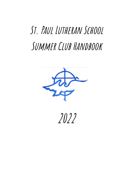# **St. Paul Lutheran School Summer Club Handbook**



**2022**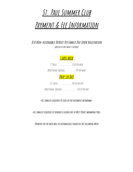# **St. Paul Summer Club**

# **Payment & Fee Information**

**\$50 Non-refundableDeposit Per FamilyDue Upon Registration (applied to first week's tuition)**

### **5 days/week**

1st Child…………………….….\$160 per week

Additional Siblings………………..\$90 per week

### **Drop-In Rate**

1st Child………………….…..\$40.00 perday ADDITIONAL SIBLINGS………………………… \$20.00 PER DAY

**-All families required to sign up for automatic withdrawal-**

**-All families required to purchase <sup>a</sup> season pass at West Point Swimming Pool-**

**-Payment for the week will be automatically deducted the following Week-**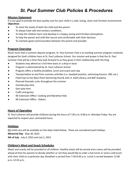## *St. Paul Summer Club Policies & Procedures*

#### **Mission Statement**

It is our goal to provide the best quality care for your child in a safe, loving, clean and Christian environment. Objectives:

- To meet the needs of both the child and the parent.
- To always have safe and sanitary conditions.
- To help the children learn and develop in a happy, loving and Christian atmosphere.
- To help the parent and child feel secure and comfortable with their decision.
- To maintain good communication between the parent and provider.

#### **Program Overview**

Much more than a summer daycare program, St. Paul Summer Club is an exciting summer program creatively designed for God's children here at St. Paul Lutheran School. Our mission and prayer is that the St. Paul Summer Club will be a time they look forward to as they grow in their relationship with the King.

- Students may attend on a full-time basis or a drop-in basis
- Program is administered by St. Paul Lutheran School
- Program offers a healthy breakfast, lunch and snack each day
- $\bullet$  Transportation to and from summer activities (i.e. baseball practice, swimming lessons, VBS, etc.)
- Field trips to the West Point Swimming Pool & John A. Stahl Library, and BAT Academy
- Planned thematic units throughout the summer
- Outside play time
- $\bullet$  Gym play time
- Crafts and games
- NE Extension Office- Cooking and Marathon Kids
- NE Extension Office Ozbots

#### **Hours** of Operation

St. Paul Lutheran will provide childcare during the hours of 7:30 a.m.-6:00 p.m. Monday-Friday. You are expected to respect your contracted hours.

#### **Holidays**

NO child care will be available on the dates listed below. These are considered paid holidays. **Memorial Day** - May 30, 2022 **4th of July** - July 4, 2022 and July 5, 2022

#### **Children's Meal and Snack Schedules**

Meals and snacks will be provided to all children. Healthy meals will be served and a menu will be provided ahead of time for parents to decide whether or not they would like to order a hot lunch or send a cold lunch with their child on a particular day. Breakfast is served from 7:30-8:30 a.m. Lunch is served between 12:00 p.m.-12:45 p.m.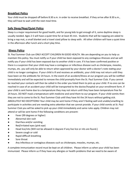#### **Breakfast Policy**

Your child must be dropped off before 8:30 a.m. in order to receive breakfast. If they arrive after 8:30 a.m., they will have to wait until the next meal time.

#### **Safe Sleep/Nap/Quiet Policy**

Sleep is a major requirement for good health, and for young kids to get enough of it, some daytime sleep is usually needed. Ages 2-5 will have a quiet time for at least 45 min. Students that will be napping are asked to bring a nap mat, a small blanket and a travel sized pillow to sleep with. All other children will have a quiet time in the afternoon after lunch and a short play time.

#### **Illness Policy**

St. Paul Summer Club can ONLY ACCEPT CHILDREN IN GOOD HEALTH. We are depending on you to help us maintain this policy. You must notify us if your child has been exposed to any contagious illnesses and we will notify you if your child has been exposed due to another child in care. If it has been confirmed positive or there is a suspicion that your child may have a contagious or infectious disease such as chickenpox, measles, mumps, etc. you will only be able to return when approved by your doctor with a doctor's note stating your child is no longer contagious. If your child is ill and receives an antibiotic, your child may not return until they have been on the antibiotic for 24 hours. In the event of an accident/illness at our program you will be notified immediately and will be expected to remove the child promptly from the St. Paul Summer Club. If you cannot be reached your contacts will then be called in the order you listed them to pick up your child. If no one can be reached in case of an accident your child will be transported to the doctor/hospital on your enrollment form. If your child is sent home due to a temperature they may not return until they have been temperature free for 24 hours. DO NOT mask a temperature with medicine and send them to our program. If your child vomits then they are not to come to the St. Paul Summer Club until they have hit the 24 hours without getting sick. ABSOLUTELY NO EXCEPTIONS! Your child may be sent home if they aren't feeling well and unable/unwilling to participate in activities and are needing extra attention that we cannot provide. If your child vomits at St. Paul Summer Club you will be asked to pick up your child immediately and same rules apply. Children may not attend or will be sent home if the following conditions are present:

- Fever (99 degrees or higher)
- Abnormal skin rash
- Diarrhea and/or vomiting
- Red/irritated eyes (pink eye)
- Head lice/nits (Will not be allowed in daycare if any live lice or nits are found.)
- Severe cough or cold
- Rapid difficult breathing
- Sore throat
- Any infectious or contagious diseases such as chickenpox, measles, mumps, etc.

A complete immunization record must be kept on all children. Please inform us when your child has been immunized. Please inform us if they have any allergies or health problems that we need to be aware of.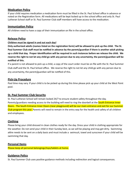#### **Medication Policy**

If your child requires medication a medication form must be filled in the St. Paul School office in advance or noted on the Registration form. All medications will be kept locked up in the school office and only St. Paul Lutheran School staff or St. Paul Summer Club staff members will have access to the medication.

#### **Immunization Policy**

All children need to have a copy of their immunization on file in the school office.

#### **Release Policy**

#### **Children must be signed in and out each day!**

Only authorized adults (names listed on the registration form) will be allowed to pick up the child. The St. **Paul Summer Club staff must be nofied in advance by the parent/guardian if there is another adult picking** up a child that day. Proper identification will be required in such instances before we release the child. We **reserve the right to not let any child go with any person due to any uncertainty, the parent/guardian will be nofied of this.**

If a parent is not allowed to pick up a child, a copy of the court order must be on file with the St. Paul Summer Club staff and the St. Paul School office. We reserve the right to not let any child go with any person due to any uncertainty, the parent/guardian will be notified of this.

#### **Pick-Up Procedure**

Pool time may vary. If your child is to be picked up during this time please pick up your child at the West Point pool.

#### **St. Paul Summer Club Security**

St. Paul Lutheran School will remain locked 24/7 to ensure student safety throughout the day. Parents/guardians needing access to the building will need to ring the doorbell at the South Entrance Inner Doors. The South Entrance Inner Doors (near playground) will be our main entrance and exit for our Summer Club program this year. Parents will need to remain in the entry way for the health and safety of all children and employees.

#### **Clothing**

Please bring your child dressed in clean clothes ready for the day. Dress your child in clothing appropriate for the weather. Do not send your child in their Sunday best, as we will be playing and may get dirty. Swimming attire needs to be sent on a daily basis and must include a swimsuit, towel and sunscreen if your child will be swimming that day.

#### **Personal Items**

Please keep all personal belongings/toys/tablets at home.

#### **Guidance Policy**

St. Paul Summer Club uses positive guidance methods including redirection and logical consequences.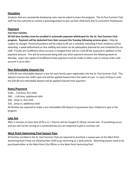#### **Discipline**

Students that are consistently disobeying rules may be asked to leave the program. The St.Paul Summer Club staff has the authority to contact a parent/guardian to pick up their child early due to consistent misbehavior.

#### **Payment**

#### *Full-Time Families*

All full-time families must be enrolled in automatic payment withdrawal for the St. Paul Summer Club **program. Payment will be deducted from their account the Tuesday following services given**. ( May be subject to change) Parents/Guardians will be asked to fill out a schedule indicating if their child(ren) will be attending a week beforehand so that staffing and meals can be adequately planned for and scheduled by our staff. If funds are insufficient when account is charged there will be a \$10.00 fee assessed in addition to the payment amount. This will be processed along with any other payment amounts the following week on Monday. Upon two weeks of insufficient funds payment must be made in either cash or money order until account is up to date.

#### **Non-Refundable Deposit Fee**

A \$50.00 non-refundable deposit is due for each family upon registration into the St. Paul Summer Club. This deposit reserves the child's spot and will be applied toward their first week of care. In cases of drop-in only the \$50.00 non-refundable deposit will be applied towards their payment.

#### **Rates/Payment**

\$160.....Full-time, first child \$90......Full-time, additional child \$40….Drop-In, first child \$20....Drop-in, additional child All families are required to make a non-refundable \$50 deposit to guarantee their child(ren)'s spot in the program

#### **Late Fee**

After 5 minutes of close time (6:05 p.m.) Parents will be charged \$1.00 per minute late. If something occurs and you will not be coming on a scheduled day you are expected to give a courtesy call.

#### **West Point Swimming Pool Season Pass**

All families enrolled in the St. Paul Summer Club are required to purchase a season pass to the West Point Swimming Pool if they are allowing their child to go swimming as a daily activity. Swimming passes need to be purchased either at the West Point City Offices or the West Point Swimming Pool.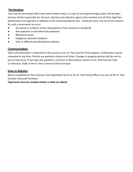#### **Termination**

Care may be terminated with a two week written notice. In cases of non-payment legal action will be taken and you will be responsible for all court, attorney and collection agency fees involved and all other legal fees pertaining to non-payment in addition to the remaining balance due. Listed are some, but not all the reasons for such a termination to occur:

- Any abuse or violation of the rules/policies of the contract or handbook
- Non-payment or persistent late payments
- Behavioral issues
- Dangerous parental situations
- Poor or difficult provider/parent relations

#### **Communication**

Open communication is important to the success of our St. Paul Summer Club program. Conferences may be requested at any time. Parents are welcome visitors at all times. Changes in program policies will be sent to you as they occur. If you have any questions, concerns or ideas please contact our St. Paul Summer Club Co-Directors, Staff, or the St. Paul Lutheran School principal.

#### **How to Register**

Return completed St. Paul Summer Club registration forms to the St. Paul School office or to one of the St. Paul Summer Club staff members.

Paperwork must be complete before a child can attend.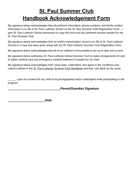# **St. Paul Summer Club Handbook Acknowledgement Form**

*My signature below acknowledges that all pertinent information, phone numbers, and family contact information is on file at St. Paul Lutheran School on the St. Paul Summer Club Registration Form. I give St. Paul Lutheran School permission to copy this form and any pertinent records needed for the St. Paul Summer Club.*

*My signature below acknowledges that my child's immunization record is on file at St. Paul Lutheran School or a copy has been given along with my St. Paul Lutheran Summer Club Registration Form.*

*My signature below acknowledges that all of my children's immunizations are up to date and current.*

*My signature below authorizes St. Paul Lutheran School Summer Club to make arrangements for and to obtain medical care and emergency medical treatment if needed for my child.*

*My signature below acknowledges that I have read, understand, and agree to the conditions and criteria outlined in the St. Paul Lutheran Summer Club Handbook and that I will abide by the same.*

*\_\_\_\_\_\_I give my consent for my child to be photographed and/or videotaped while participating in the program.*

*\_\_\_\_\_\_\_\_\_\_\_\_\_\_\_\_\_\_\_\_\_\_\_\_\_\_\_\_\_\_\_Parent/Guardian Signature*

*\_\_\_\_\_\_\_\_\_\_\_\_\_\_\_\_\_\_\_\_\_\_Date*